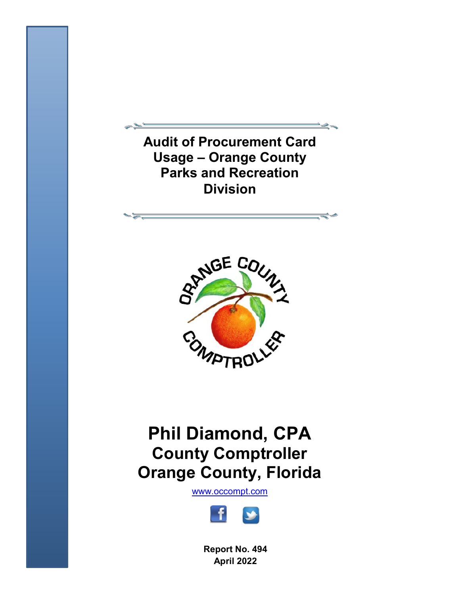**Audit of Procurement Card Usage – Orange County Parks and Recreation Division** 



# **Phil Diamond, CPA County Comptroller Orange County, Florida**

[www.occompt.com](http://www.occompt.com/)



**Report No. 494 April 2022**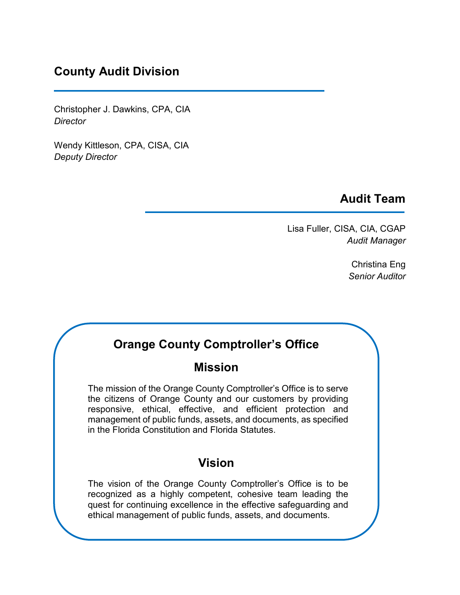# **County Audit Division**

Christopher J. Dawkins, CPA, CIA *Director* 

Wendy Kittleson, CPA, CISA, CIA *Deputy Director* 

## **Audit Team**

Lisa Fuller, CISA, CIA, CGAP *Audit Manager* 

> Christina Eng *Senior Auditor*

# **Orange County Comptroller's Office**

# **Mission**

 responsive, ethical, effective, and efficient protection and management of public funds, assets, and documents, as specified The mission of the Orange County Comptroller's Office is to serve the citizens of Orange County and our customers by providing in the Florida Constitution and Florida Statutes.

## **Vision**

The vision of the Orange County Comptroller's Office is to be recognized as a highly competent, cohesive team leading the quest for continuing excellence in the effective safeguarding and ethical management of public funds, assets, and documents.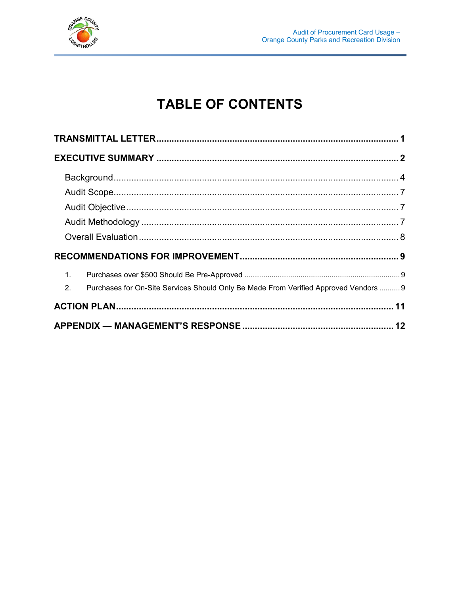

# **TABLE OF CONTENTS**

| $\mathbf{1}$ .                                                                             |  |
|--------------------------------------------------------------------------------------------|--|
| 2.<br>Purchases for On-Site Services Should Only Be Made From Verified Approved Vendors  9 |  |
|                                                                                            |  |
|                                                                                            |  |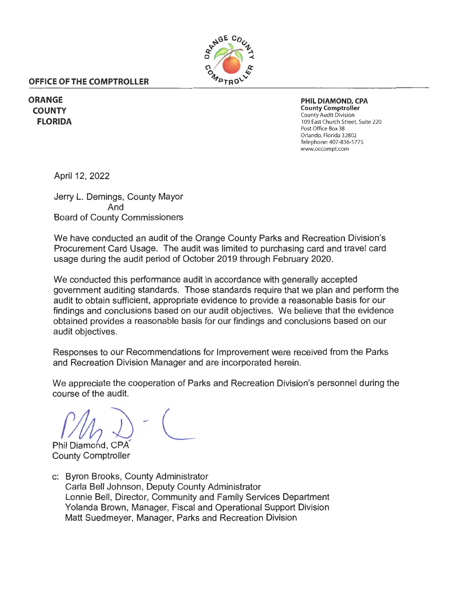

#### <span id="page-3-0"></span>**OFFICE OF THE COMPTROLLER**

**ORANGE COUNTY FLORIDA** 

**PHIL DIAMOND, CPA County Comptroller**  County Audit Division 109 East Church Street, Suite 220 Post Office Box 38 Orlando, Florida 32802 Telephone: 407-836-5775 [www.occompt.com](https://www.occompt.com/)

April 12, 2022

Jerry L. Demings, County Mayor And Board of County Commissioners

We have conducted an audit of the Orange County Parks and Recreation Division's Procurement Card Usage. The audit was limited to purchasing card and travel card usage during the audit period of October 2019 through February 2020.

We conducted this performance audit in accordance with generally accepted government auditing standards. Those standards require that we plan and perform the audit to obtain sufficient, appropriate evidence to provide a reasonable basis for our findings and conclusions based on our audit objectives. We believe that the evidence obtained provides a reasonable basis for our findings and conclusions based on our audit objectives.

Responses to our Recommendations for Improvement were received from the Parks and Recreation Division Manager and are incorporated herein.

We appreciate the cooperation of Parks and Recreation Division's personnel during the course of the audit.

 $(M_{\lambda})$  -  $($ Phil Diamond, CPA

County Comptroller

c: Byron Brooks, County Administrator Carla Bell Johnson, Deputy County Administrator Lonnie Bell, Director, Community and Family Services Department Yolanda Brown, Manager, Fiscal and Operational Support Division Matt Suedmeyer, Manager, Parks and Recreation Division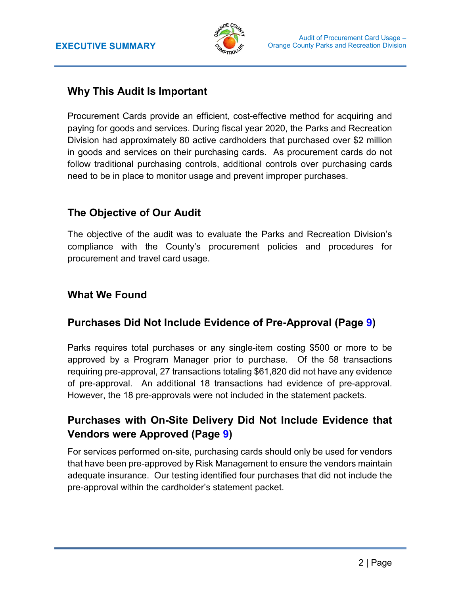

### <span id="page-4-0"></span> **Why This Audit Is Important**

Procurement Cards provide an efficient, cost-effective method for acquiring and paying for goods and services. During fiscal year 2020, the Parks and Recreation Division had approximately 80 active cardholders that purchased over \$2 million in goods and services on their purchasing cards. As procurement cards do not follow traditional purchasing controls, additional controls over purchasing cards need to be in place to monitor usage and prevent improper purchases.

### **The Objective of Our Audit**

The objective of the audit was to evaluate the Parks and Recreation Division's compliance with the County's procurement policies and procedures for procurement and travel card usage.

### **What We Found**

### **Purchases Did Not Include Evidence of Pre-Approval (Page 9)**

 approved by a Program Manager prior to purchase. Of the 58 transactions requiring pre-approval, 27 transactions totaling \$61,820 did not have any evidence Parks requires total purchases or any single-item costing \$500 or more to be of pre-approval. An additional 18 transactions had evidence of pre-approval. However, the 18 pre-approvals were not included in the statement packets.

### **Purchases with On-Site Delivery Did Not Include Evidence that Vendors were Approved (Page 9)**

 adequate insurance. Our testing identified four purchases that did not include the pre-approval within the cardholder's statement packet. For services performed on-site, purchasing cards should only be used for vendors that have been pre-approved by Risk Management to ensure the vendors maintain pre-approval within the cardholder's statement packet.<br> 2 | Page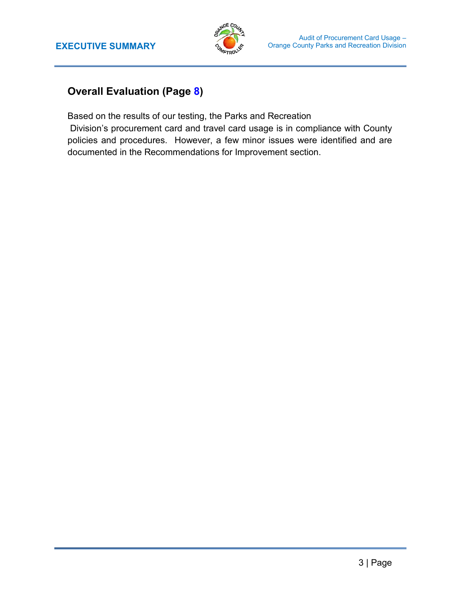

# **Overall Evaluation (Page 8)**

Based on the results of our testing, the Parks and Recreation

Division's procurement card and travel card usage is in compliance with County policies and procedures. However, a few minor issues were identified and are documented in the Recommendations for Improvement section.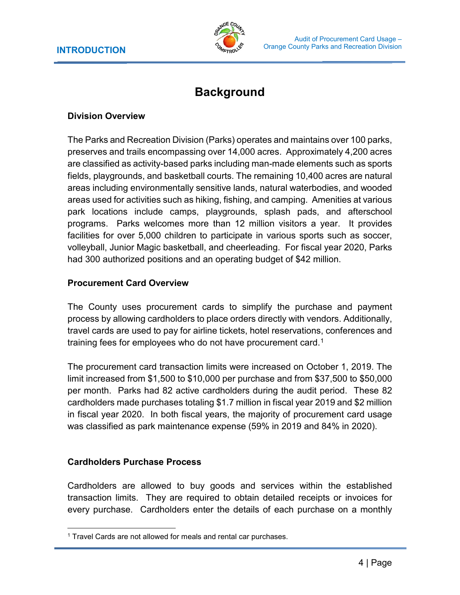

# **Background**

#### <span id="page-6-0"></span>**Division Overview**

The Parks and Recreation Division (Parks) operates and maintains over 100 parks, preserves and trails encompassing over 14,000 acres. Approximately 4,200 acres are classified as activity-based parks including man-made elements such as sports fields, playgrounds, and basketball courts. The remaining 10,400 acres are natural areas including environmentally sensitive lands, natural waterbodies, and wooded areas used for activities such as hiking, fishing, and camping. Amenities at various park locations include camps, playgrounds, splash pads, and afterschool programs. Parks welcomes more than 12 million visitors a year. It provides facilities for over 5,000 children to participate in various sports such as soccer, volleyball, Junior Magic basketball, and cheerleading. For fiscal year 2020, Parks had 300 authorized positions and an operating budget of \$42 million.

#### **Procurement Card Overview**

The County uses procurement cards to simplify the purchase and payment process by allowing cardholders to place orders directly with vendors. Additionally, travel cards are used to pay for airline tickets, hotel reservations, conferences and training fees for employees who do not have procurement card.<sup>1</sup>

The procurement card transaction limits were increased on October 1, 2019. The limit increased from \$1,500 to \$10,000 per purchase and from \$37,500 to \$50,000 per month. Parks had 82 active cardholders during the audit period. These 82 cardholders made purchases totaling \$1.7 million in fiscal year 2019 and \$2 million in fiscal year 2020. In both fiscal years, the majority of procurement card usage was classified as park maintenance expense (59% in 2019 and 84% in 2020).

#### **Cardholders Purchase Process**

Cardholders are allowed to buy goods and services within the established transaction limits. They are required to obtain detailed receipts or invoices for every purchase. Cardholders enter the details of each purchase on a monthly

 $\overline{a}$ <sup>1</sup> Travel Cards are not allowed for meals and rental car purchases.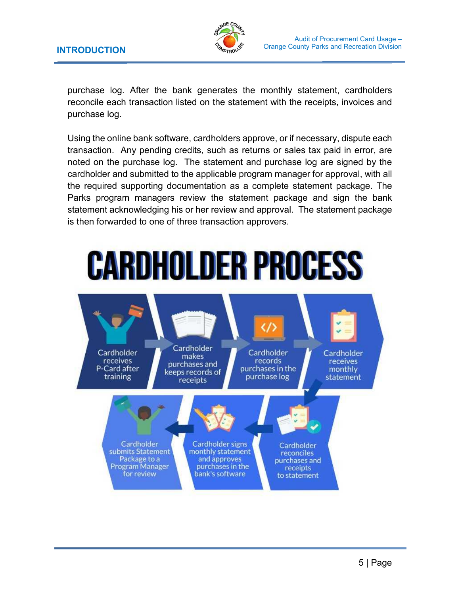

 reconcile each transaction listed on the statement with the receipts, invoices and purchase log. After the bank generates the monthly statement, cardholders purchase log.

 transaction. Any pending credits, such as returns or sales tax paid in error, are cardholder and submitted to the applicable program manager for approval, with all the required supporting documentation as a complete statement package. The Parks program managers review the statement package and sign the bank statement acknowledging his or her review and approval. The statement package is then forwarded to one of three transaction approvers. Using the online bank software, cardholders approve, or if necessary, dispute each noted on the purchase log. The statement and purchase log are signed by the

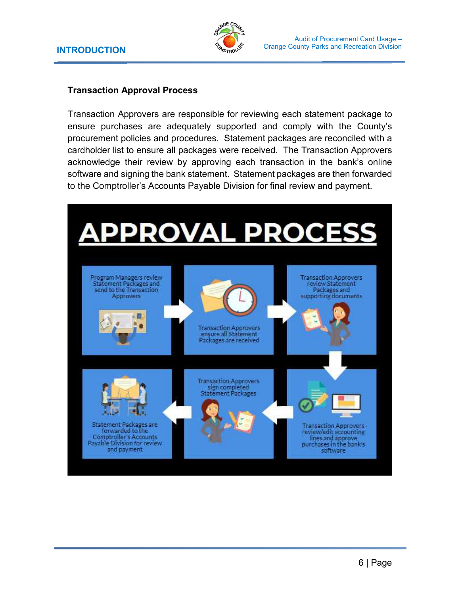

#### **Transaction Approval Process**

 procurement policies and procedures. Statement packages are reconciled with a cardholder list to ensure all packages were received. The Transaction Approvers software and signing the bank statement. Statement packages are then forwarded Transaction Approvers are responsible for reviewing each statement package to ensure purchases are adequately supported and comply with the County's acknowledge their review by approving each transaction in the bank's online to the Comptroller's Accounts Payable Division for final review and payment.

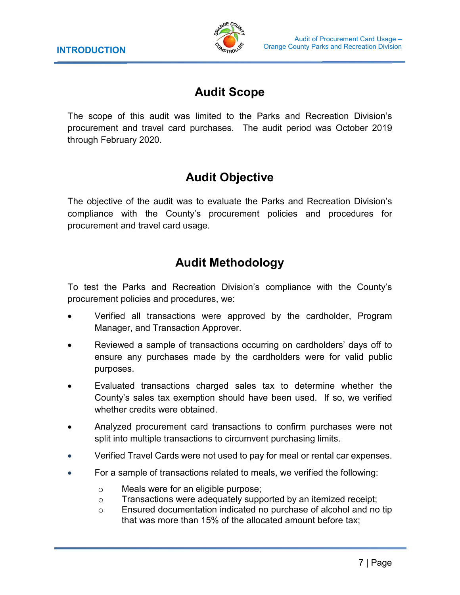

# **Audit Scope**

<span id="page-9-0"></span> The scope of this audit was limited to the Parks and Recreation Division's procurement and travel card purchases. The audit period was October 2019 through February 2020.

# **Audit Objective**

The objective of the audit was to evaluate the Parks and Recreation Division's compliance with the County's procurement policies and procedures for procurement and travel card usage.

# **Audit Methodology**

To test the Parks and Recreation Division's compliance with the County's procurement policies and procedures, we:

- Verified all transactions were approved by the cardholder, Program Manager, and Transaction Approver.
- • Reviewed a sample of transactions occurring on cardholders' days off to ensure any purchases made by the cardholders were for valid public purposes.
- Evaluated transactions charged sales tax to determine whether the County's sales tax exemption should have been used. If so, we verified whether credits were obtained.
- • Analyzed procurement card transactions to confirm purchases were not split into multiple transactions to circumvent purchasing limits.
- Verified Travel Cards were not used to pay for meal or rental car expenses.
- For a sample of transactions related to meals, we verified the following:
	- o Meals were for an eligible purpose;
	- o Transactions were adequately supported by an itemized receipt;
	- o Ensured documentation indicated no purchase of alcohol and no tip that was more than 15% of the allocated amount before tax;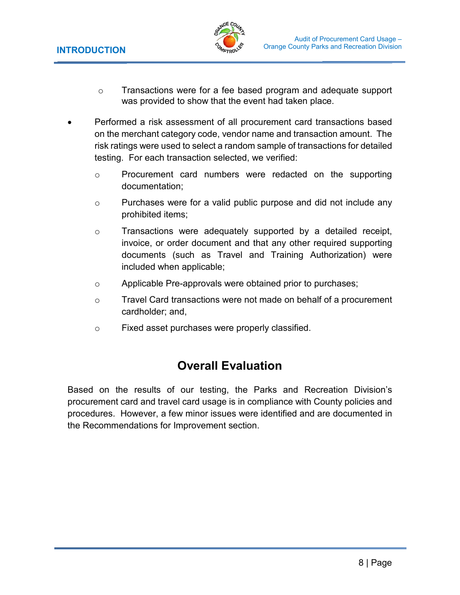

- <span id="page-10-0"></span> $\circ$  Transactions were for a fee based program and adequate support was provided to show that the event had taken place.
- • Performed a risk assessment of all procurement card transactions based on the merchant category code, vendor name and transaction amount. The risk ratings were used to select a random sample of transactions for detailed testing. For each transaction selected, we verified:
	- o Procurement card numbers were redacted on the supporting documentation;
	- o Purchases were for a valid public purpose and did not include any prohibited items;
	- o Transactions were adequately supported by a detailed receipt, invoice, or order document and that any other required supporting documents (such as Travel and Training Authorization) were included when applicable;
	- o Applicable Pre-approvals were obtained prior to purchases;
	- $\circ$  Travel Card transactions were not made on behalf of a procurement cardholder; and,
	- o Fixed asset purchases were properly classified.

# **Overall Evaluation**

 Based on the results of our testing, the Parks and Recreation Division's procurement card and travel card usage is in compliance with County policies and procedures. However, a few minor issues were identified and are documented in the Recommendations for Improvement section.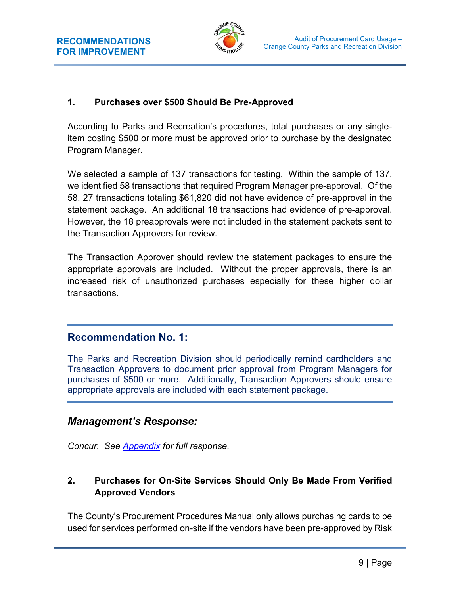

### <span id="page-11-0"></span>**1. Purchases over \$500 Should Be Pre-Approved**

 According to Parks and Recreation's procedures, total purchases or any singleitem costing \$500 or more must be approved prior to purchase by the designated Program Manager.

 statement package. An additional 18 transactions had evidence of pre-approval. However, the 18 preapprovals were not included in the statement packets sent to the Transaction Approvers for review. We selected a sample of 137 transactions for testing. Within the sample of 137, we identified 58 transactions that required Program Manager pre-approval. Of the 58, 27 transactions totaling \$61,820 did not have evidence of pre-approval in the

The Transaction Approver should review the statement packages to ensure the appropriate approvals are included. Without the proper approvals, there is an increased risk of unauthorized purchases especially for these higher dollar transactions.

### **Recommendation No. 1:**

 purchases of \$500 or more. Additionally, Transaction Approvers should ensure appropriate approvals are included with each statement package. The Parks and Recreation Division should periodically remind cardholders and Transaction Approvers to document prior approval from Program Managers for

### *Management's Response:*

 *Concur. See [Appendix](#page-14-1) for full response.* 

### **2. Purchases for On-Site Services Should Only Be Made From Verified Approved Vendors**

The County's Procurement Procedures Manual only allows purchasing cards to be used for services performed on-site if the vendors have been pre-approved by Risk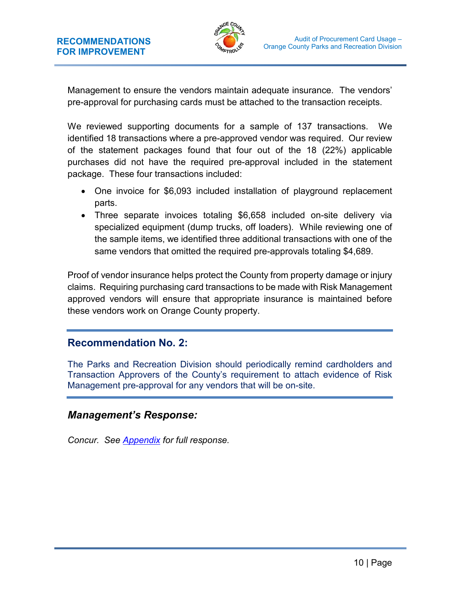

 Management to ensure the vendors maintain adequate insurance. The vendors' pre-approval for purchasing cards must be attached to the transaction receipts.

 We reviewed supporting documents for a sample of 137 transactions. We identified 18 transactions where a pre-approved vendor was required. Our review of the statement packages found that four out of the 18 (22%) applicable purchases did not have the required pre-approval included in the statement package. These four transactions included:

- • One invoice for \$6,093 included installation of playground replacement parts.
- specialized equipment (dump trucks, off loaders). While reviewing one of • Three separate invoices totaling \$6,658 included on-site delivery via the sample items, we identified three additional transactions with one of the same vendors that omitted the required pre-approvals totaling \$4,689.

 Proof of vendor insurance helps protect the County from property damage or injury claims. Requiring purchasing card transactions to be made with Risk Management approved vendors will ensure that appropriate insurance is maintained before these vendors work on Orange County property.

### **Recommendation No. 2:**

 Transaction Approvers of the County's requirement to attach evidence of Risk The Parks and Recreation Division should periodically remind cardholders and Management pre-approval for any vendors that will be on-site.

### *Management's Response:*

*Concur. See [Appendix](#page-14-1) for full response.*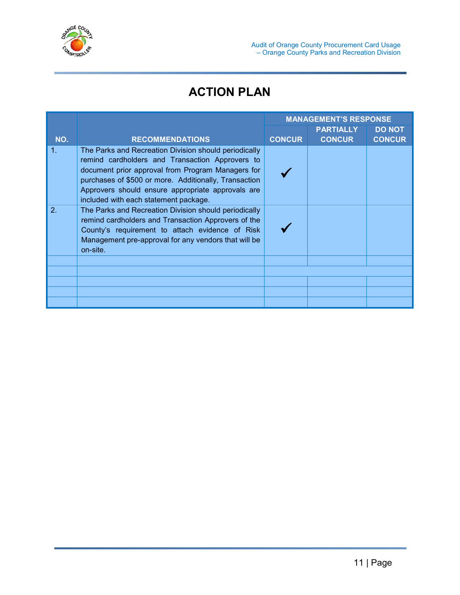<span id="page-13-0"></span>

# **ACTION PLAN**

|     |                                                                                                                                                                                                                                                                                                                      | <b>MANAGEMENT'S RESPONSE</b> |                                   |                                |
|-----|----------------------------------------------------------------------------------------------------------------------------------------------------------------------------------------------------------------------------------------------------------------------------------------------------------------------|------------------------------|-----------------------------------|--------------------------------|
| NO. | <b>RECOMMENDATIONS</b>                                                                                                                                                                                                                                                                                               | <b>CONCUR</b>                | <b>PARTIALLY</b><br><b>CONCUR</b> | <b>DO NOT</b><br><b>CONCUR</b> |
| 1.  | The Parks and Recreation Division should periodically<br>remind cardholders and Transaction Approvers to<br>document prior approval from Program Managers for<br>purchases of \$500 or more. Additionally, Transaction<br>Approvers should ensure appropriate approvals are<br>included with each statement package. |                              |                                   |                                |
| 2.  | The Parks and Recreation Division should periodically<br>remind cardholders and Transaction Approvers of the<br>County's requirement to attach evidence of Risk<br>Management pre-approval for any vendors that will be<br>on-site.                                                                                  |                              |                                   |                                |
|     |                                                                                                                                                                                                                                                                                                                      |                              |                                   |                                |
|     |                                                                                                                                                                                                                                                                                                                      |                              |                                   |                                |
|     |                                                                                                                                                                                                                                                                                                                      |                              |                                   |                                |
|     |                                                                                                                                                                                                                                                                                                                      |                              |                                   |                                |
|     |                                                                                                                                                                                                                                                                                                                      |                              |                                   |                                |